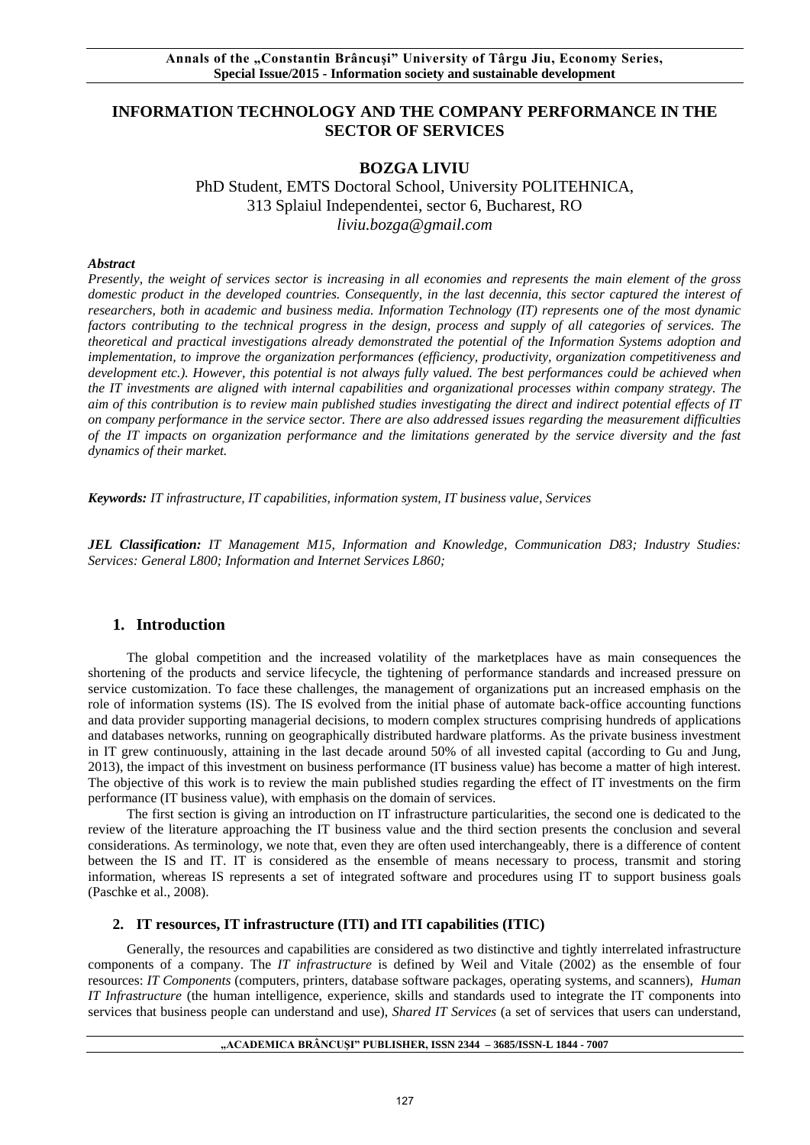# **INFORMATION TECHNOLOGY AND THE COMPANY PERFORMANCE IN THE SECTOR OF SERVICES**

# **BOZGA LIVIU**

PhD Student, EMTS Doctoral School, University POLITEHNICA, 313 Splaiul Independentei, sector 6, Bucharest, RO *liviu.bozga@gmail.com*

# *Abstract*

*Presently, the weight of services sector is increasing in all economies and represents the main element of the gross domestic product in the developed countries. Consequently, in the last decennia, this sector captured the interest of researchers, both in academic and business media. Information Technology (IT) represents one of the most dynamic factors contributing to the technical progress in the design, process and supply of all categories of services. The theoretical and practical investigations already demonstrated the potential of the Information Systems adoption and implementation, to improve the organization performances (efficiency, productivity, organization competitiveness and development etc.). However, this potential is not always fully valued. The best performances could be achieved when the IT investments are aligned with internal capabilities and organizational processes within company strategy. The aim of this contribution is to review main published studies investigating the direct and indirect potential effects of IT on company performance in the service sector. There are also addressed issues regarding the measurement difficulties of the IT impacts on organization performance and the limitations generated by the service diversity and the fast dynamics of their market.*

*Keywords: IT infrastructure, IT capabilities, information system, IT business value, Services* 

*JEL Classification: IT Management M15, Information and Knowledge, Communication D83; Industry Studies: Services: General L800; Information and Internet Services L860;*

# **1. Introduction**

The global competition and the increased volatility of the marketplaces have as main consequences the shortening of the products and service lifecycle, the tightening of performance standards and increased pressure on service customization. To face these challenges, the management of organizations put an increased emphasis on the role of information systems (IS). The IS evolved from the initial phase of automate back-office accounting functions and data provider supporting managerial decisions, to modern complex structures comprising hundreds of applications and databases networks, running on geographically distributed hardware platforms. As the private business investment in IT grew continuously, attaining in the last decade around 50% of all invested capital (according to Gu and Jung, 2013), the impact of this investment on business performance (IT business value) has become a matter of high interest. The objective of this work is to review the main published studies regarding the effect of IT investments on the firm performance (IT business value), with emphasis on the domain of services.

The first section is giving an introduction on IT infrastructure particularities, the second one is dedicated to the review of the literature approaching the IT business value and the third section presents the conclusion and several considerations. As terminology, we note that, even they are often used interchangeably, there is a difference of content between the IS and IT. IT is considered as the ensemble of means necessary to process, transmit and storing information, whereas IS represents a set of integrated software and procedures using IT to support business goals (Paschke et al., 2008).

# **2. IT resources, IT infrastructure (ITI) and ITI capabilities (ITIC)**

Generally, the resources and capabilities are considered as two distinctive and tightly interrelated infrastructure components of a company. The *IT infrastructure* is defined by Weil and Vitale (2002) as the ensemble of four resources: *IT Components* (computers, printers, database software packages, operating systems, and scanners), *Human IT Infrastructure* (the human intelligence, experience, skills and standards used to integrate the IT components into services that business people can understand and use), *Shared IT Services* (a set of services that users can understand,

#### **"ACADEMICA BRÂNCUŞI" PUBLISHER, ISSN 2344 – 3685/ISSN-L 1844 - 7007**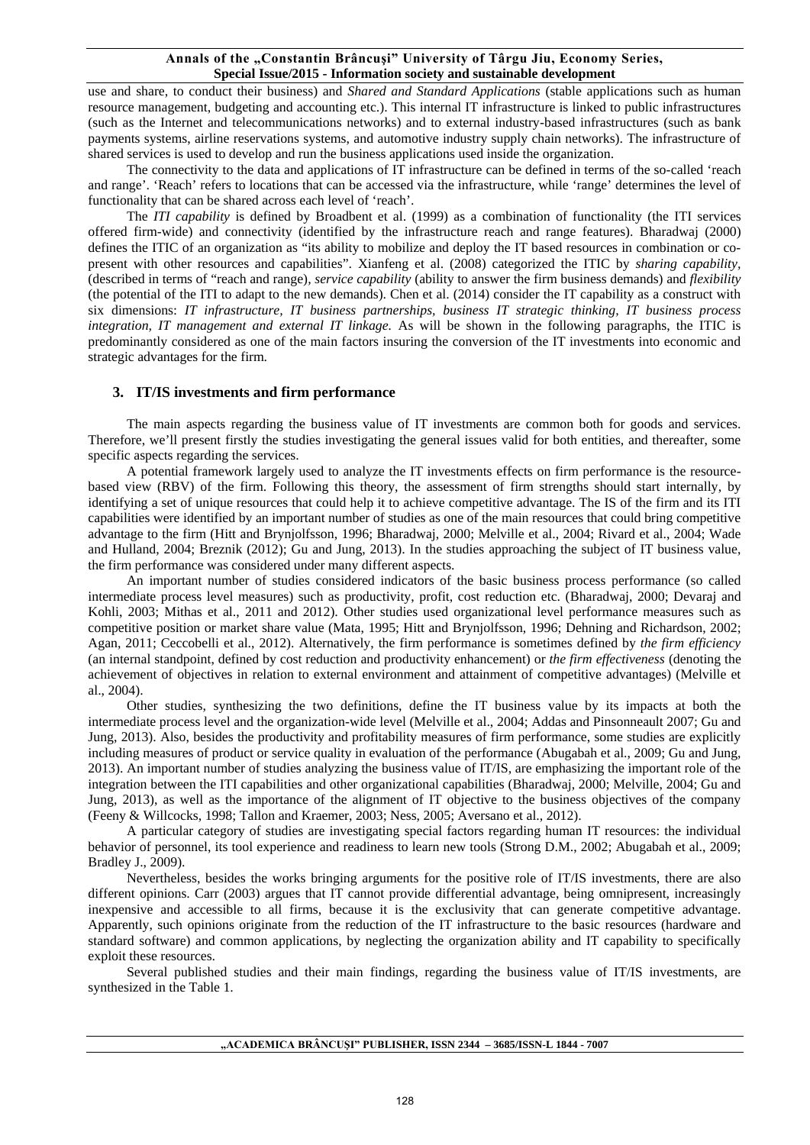use and share, to conduct their business) and *Shared and Standard Applications* (stable applications such as human resource management, budgeting and accounting etc.). This internal IT infrastructure is linked to public infrastructures (such as the Internet and telecommunications networks) and to external industry-based infrastructures (such as bank payments systems, airline reservations systems, and automotive industry supply chain networks). The infrastructure of shared services is used to develop and run the business applications used inside the organization.

The connectivity to the data and applications of IT infrastructure can be defined in terms of the so-called 'reach and range'. 'Reach' refers to locations that can be accessed via the infrastructure, while 'range' determines the level of functionality that can be shared across each level of 'reach'.

The *ITI capability* is defined by Broadbent et al. (1999) as a combination of functionality (the ITI services offered firm-wide) and connectivity (identified by the infrastructure reach and range features). Bharadwaj (2000) defines the ITIC of an organization as "its ability to mobilize and deploy the IT based resources in combination or copresent with other resources and capabilities". Xianfeng et al. (2008) categorized the ITIC by *sharing capability,*  (described in terms of "reach and range)*, service capability* (ability to answer the firm business demands) and *flexibility* (the potential of the ITI to adapt to the new demands). Chen et al. (2014) consider the IT capability as a construct with six dimensions: *IT infrastructure, IT business partnerships, business IT strategic thinking, IT business process integration, IT management and external IT linkage.* As will be shown in the following paragraphs, the ITIC is predominantly considered as one of the main factors insuring the conversion of the IT investments into economic and strategic advantages for the firm.

### **3. IT/IS investments and firm performance**

The main aspects regarding the business value of IT investments are common both for goods and services. Therefore, we'll present firstly the studies investigating the general issues valid for both entities, and thereafter, some specific aspects regarding the services.

A potential framework largely used to analyze the IT investments effects on firm performance is the resourcebased view (RBV) of the firm. Following this theory, the assessment of firm strengths should start internally, by identifying a set of unique resources that could help it to achieve competitive advantage. The IS of the firm and its ITI capabilities were identified by an important number of studies as one of the main resources that could bring competitive advantage to the firm (Hitt and Brynjolfsson, 1996; Bharadwaj, 2000; Melville et al., 2004; Rivard et al., 2004; Wade and Hulland, 2004; Breznik (2012); Gu and Jung, 2013). In the studies approaching the subject of IT business value, the firm performance was considered under many different aspects.

An important number of studies considered indicators of the basic business process performance (so called intermediate process level measures) such as productivity, profit, cost reduction etc. (Bharadwaj, 2000; Devaraj and Kohli, 2003; Mithas et al., 2011 and 2012). Other studies used organizational level performance measures such as competitive position or market share value (Mata, 1995; Hitt and Brynjolfsson, 1996; Dehning and Richardson, 2002; Agan, 2011; Ceccobelli et al., 2012). Alternatively, the firm performance is sometimes defined by *the firm efficiency* (an internal standpoint, defined by cost reduction and productivity enhancement) or *the firm effectiveness* (denoting the achievement of objectives in relation to external environment and attainment of competitive advantages) (Melville et al., 2004).

Other studies, synthesizing the two definitions, define the IT business value by its impacts at both the intermediate process level and the organization-wide level (Melville et al., 2004; Addas and Pinsonneault 2007; Gu and Jung, 2013). Also, besides the productivity and profitability measures of firm performance, some studies are explicitly including measures of product or service quality in evaluation of the performance (Abugabah et al., 2009; Gu and Jung, 2013). An important number of studies analyzing the business value of IT/IS, are emphasizing the important role of the integration between the ITI capabilities and other organizational capabilities (Bharadwaj, 2000; Melville, 2004; Gu and Jung, 2013), as well as the importance of the alignment of IT objective to the business objectives of the company (Feeny & Willcocks, 1998; Tallon and Kraemer, 2003; Ness, 2005; Aversano et al., 2012).

A particular category of studies are investigating special factors regarding human IT resources: the individual behavior of personnel, its tool experience and readiness to learn new tools (Strong D.M., 2002; Abugabah et al., 2009; Bradley J., 2009).

Nevertheless, besides the works bringing arguments for the positive role of IT/IS investments, there are also different opinions. Carr (2003) argues that IT cannot provide differential advantage, being omnipresent, increasingly inexpensive and accessible to all firms, because it is the exclusivity that can generate competitive advantage. Apparently, such opinions originate from the reduction of the IT infrastructure to the basic resources (hardware and standard software) and common applications, by neglecting the organization ability and IT capability to specifically exploit these resources.

Several published studies and their main findings, regarding the business value of IT/IS investments, are synthesized in the Table 1.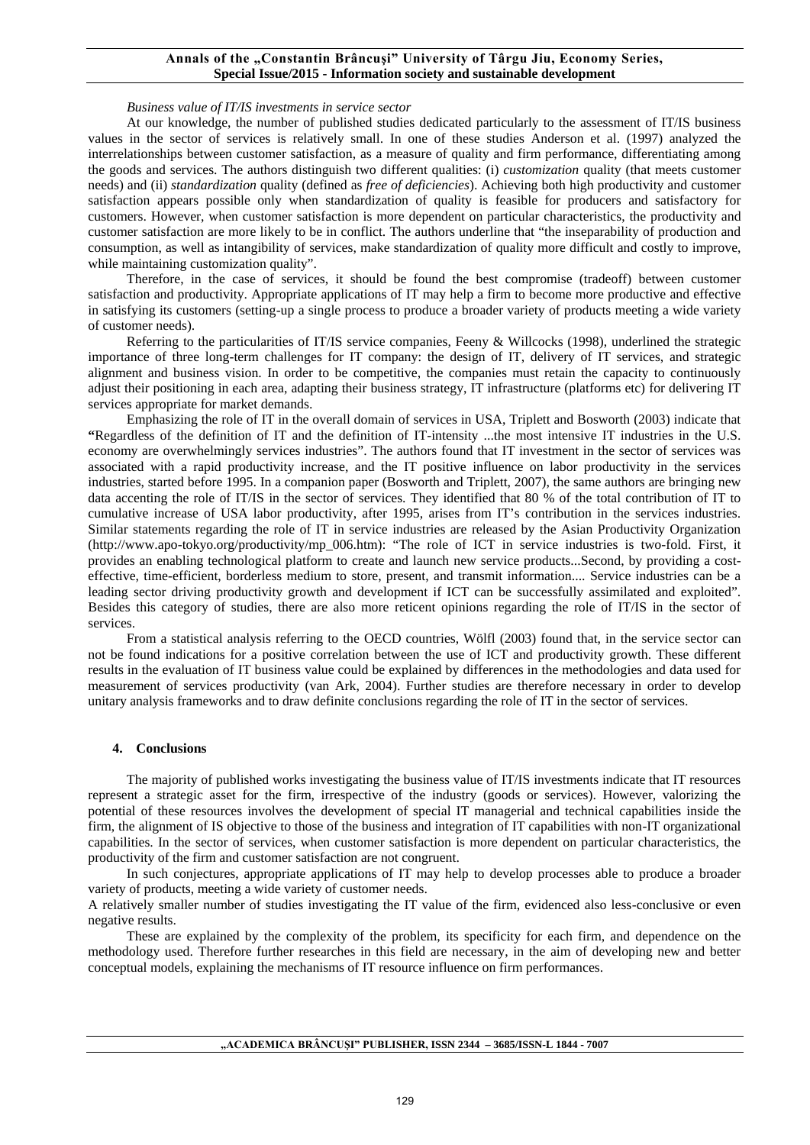#### *Business value of IT/IS investments in service sector*

At our knowledge, the number of published studies dedicated particularly to the assessment of IT/IS business values in the sector of services is relatively small. In one of these studies Anderson et al. (1997) analyzed the interrelationships between customer satisfaction, as a measure of quality and firm performance, differentiating among the goods and services. The authors distinguish two different qualities: (i) *customization* quality (that meets customer needs) and (ii) *standardization* quality (defined as *free of deficiencies*). Achieving both high productivity and customer satisfaction appears possible only when standardization of quality is feasible for producers and satisfactory for customers. However, when customer satisfaction is more dependent on particular characteristics, the productivity and customer satisfaction are more likely to be in conflict. The authors underline that "the inseparability of production and consumption, as well as intangibility of services, make standardization of quality more difficult and costly to improve, while maintaining customization quality".

Therefore, in the case of services, it should be found the best compromise (tradeoff) between customer satisfaction and productivity. Appropriate applications of IT may help a firm to become more productive and effective in satisfying its customers (setting-up a single process to produce a broader variety of products meeting a wide variety of customer needs).

Referring to the particularities of IT/IS service companies, Feeny & Willcocks (1998), underlined the strategic importance of three long-term challenges for IT company: the design of IT, delivery of IT services, and strategic alignment and business vision. In order to be competitive, the companies must retain the capacity to continuously adjust their positioning in each area, adapting their business strategy, IT infrastructure (platforms etc) for delivering IT services appropriate for market demands.

Emphasizing the role of IT in the overall domain of services in USA, Triplett and Bosworth (2003) indicate that **"**Regardless of the definition of IT and the definition of IT-intensity ...the most intensive IT industries in the U.S. economy are overwhelmingly services industries". The authors found that IT investment in the sector of services was associated with a rapid productivity increase, and the IT positive influence on labor productivity in the services industries, started before 1995. In a companion paper (Bosworth and Triplett, 2007), the same authors are bringing new data accenting the role of IT/IS in the sector of services. They identified that 80 % of the total contribution of IT to cumulative increase of USA labor productivity, after 1995, arises from IT's contribution in the services industries. Similar statements regarding the role of IT in service industries are released by the Asian Productivity Organization (http://www.apo-tokyo.org/productivity/mp\_006.htm): "The role of ICT in service industries is two-fold. First, it provides an enabling technological platform to create and launch new service products...Second, by providing a costeffective, time-efficient, borderless medium to store, present, and transmit information.... Service industries can be a leading sector driving productivity growth and development if ICT can be successfully assimilated and exploited". Besides this category of studies, there are also more reticent opinions regarding the role of IT/IS in the sector of services.

From a statistical analysis referring to the OECD countries, Wölfl (2003) found that, in the service sector can not be found indications for a positive correlation between the use of ICT and productivity growth. These different results in the evaluation of IT business value could be explained by differences in the methodologies and data used for measurement of services productivity (van Ark, 2004). Further studies are therefore necessary in order to develop unitary analysis frameworks and to draw definite conclusions regarding the role of IT in the sector of services.

#### **4. Conclusions**

The majority of published works investigating the business value of IT/IS investments indicate that IT resources represent a strategic asset for the firm, irrespective of the industry (goods or services). However, valorizing the potential of these resources involves the development of special IT managerial and technical capabilities inside the firm, the alignment of IS objective to those of the business and integration of IT capabilities with non-IT organizational capabilities. In the sector of services, when customer satisfaction is more dependent on particular characteristics, the productivity of the firm and customer satisfaction are not congruent.

In such conjectures, appropriate applications of IT may help to develop processes able to produce a broader variety of products, meeting a wide variety of customer needs.

A relatively smaller number of studies investigating the IT value of the firm, evidenced also less-conclusive or even negative results.

These are explained by the complexity of the problem, its specificity for each firm, and dependence on the methodology used. Therefore further researches in this field are necessary, in the aim of developing new and better conceptual models, explaining the mechanisms of IT resource influence on firm performances.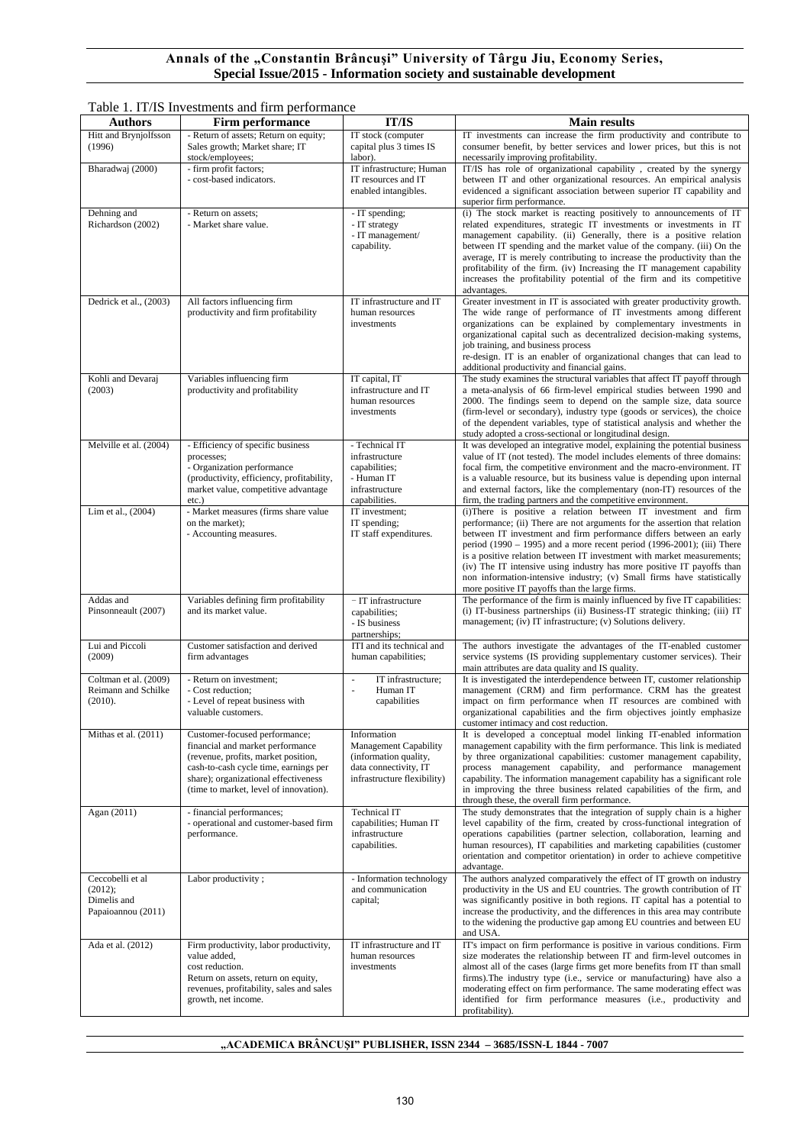| Authors                                                             | Firm performance                                                                                                                                                                                                                    | <b>IT/IS</b>                                                                                                          | <b>Main results</b>                                                                                                                                                                                                                                                                                                                                                                                                                                                                                                                                                                |
|---------------------------------------------------------------------|-------------------------------------------------------------------------------------------------------------------------------------------------------------------------------------------------------------------------------------|-----------------------------------------------------------------------------------------------------------------------|------------------------------------------------------------------------------------------------------------------------------------------------------------------------------------------------------------------------------------------------------------------------------------------------------------------------------------------------------------------------------------------------------------------------------------------------------------------------------------------------------------------------------------------------------------------------------------|
| Hitt and Brynjolfsson<br>(1996)                                     | - Return of assets; Return on equity;<br>Sales growth; Market share; IT<br>stock/employees;                                                                                                                                         | IT stock (computer<br>capital plus 3 times IS<br>labor).                                                              | IT investments can increase the firm productivity and contribute to<br>consumer benefit, by better services and lower prices, but this is not<br>necessarily improving profitability.                                                                                                                                                                                                                                                                                                                                                                                              |
| Bharadwaj (2000)                                                    | - firm profit factors;<br>- cost-based indicators.                                                                                                                                                                                  | IT infrastructure; Human<br>IT resources and IT<br>enabled intangibles.                                               | IT/IS has role of organizational capability, created by the synergy<br>between IT and other organizational resources. An empirical analysis<br>evidenced a significant association between superior IT capability and<br>superior firm performance.                                                                                                                                                                                                                                                                                                                                |
| Dehning and<br>Richardson (2002)                                    | - Return on assets;<br>- Market share value.                                                                                                                                                                                        | - IT spending;<br>- IT strategy<br>- IT management/<br>capability.                                                    | (i) The stock market is reacting positively to announcements of IT<br>related expenditures, strategic IT investments or investments in IT<br>management capability. (ii) Generally, there is a positive relation<br>between IT spending and the market value of the company. (iii) On the<br>average, IT is merely contributing to increase the productivity than the<br>profitability of the firm. (iv) Increasing the IT management capability<br>increases the profitability potential of the firm and its competitive<br>advantages.                                           |
| Dedrick et al., (2003)                                              | All factors influencing firm<br>productivity and firm profitability                                                                                                                                                                 | IT infrastructure and IT<br>human resources<br>investments                                                            | Greater investment in IT is associated with greater productivity growth.<br>The wide range of performance of IT investments among different<br>organizations can be explained by complementary investments in<br>organizational capital such as decentralized decision-making systems,<br>job training, and business process<br>re-design. IT is an enabler of organizational changes that can lead to<br>additional productivity and financial gains.                                                                                                                             |
| Kohli and Devaraj<br>(2003)                                         | Variables influencing firm<br>productivity and profitability                                                                                                                                                                        | IT capital, IT<br>infrastructure and IT<br>human resources<br>investments                                             | The study examines the structural variables that affect IT payoff through<br>a meta-analysis of 66 firm-level empirical studies between 1990 and<br>2000. The findings seem to depend on the sample size, data source<br>(firm-level or secondary), industry type (goods or services), the choice<br>of the dependent variables, type of statistical analysis and whether the<br>study adopted a cross-sectional or longitudinal design.                                                                                                                                           |
| Melville et al. (2004)                                              | - Efficiency of specific business<br>processes;<br>- Organization performance<br>(productivity, efficiency, profitability,<br>market value, competitive advantage<br>$etc.$ )                                                       | - Technical IT<br>infrastructure<br>capabilities;<br>- Human IT<br>infrastructure<br>capabilities.                    | It was developed an integrative model, explaining the potential business<br>value of IT (not tested). The model includes elements of three domains:<br>focal firm, the competitive environment and the macro-environment. IT<br>is a valuable resource, but its business value is depending upon internal<br>and external factors, like the complementary (non-IT) resources of the<br>firm, the trading partners and the competitive environment.                                                                                                                                 |
| Lim et al., (2004)                                                  | - Market measures (firms share value<br>on the market);<br>- Accounting measures.                                                                                                                                                   | IT investment;<br>IT spending;<br>IT staff expenditures.                                                              | (i) There is positive a relation between IT investment and firm<br>performance; (ii) There are not arguments for the assertion that relation<br>between IT investment and firm performance differs between an early<br>period $(1990 - 1995)$ and a more recent period $(1996-2001)$ ; (iii) There<br>is a positive relation between IT investment with market measurements;<br>(iv) The IT intensive using industry has more positive IT payoffs than<br>non information-intensive industry; (v) Small firms have statistically<br>more positive IT payoffs than the large firms. |
| Addas and<br>Pinsonneault (2007)                                    | Variables defining firm profitability<br>and its market value.                                                                                                                                                                      | $-IT$ infrastructure<br>capabilities;<br>- IS business<br>partnerships;                                               | The performance of the firm is mainly influenced by five IT capabilities:<br>(i) IT-business partnerships (ii) Business-IT strategic thinking; (iii) IT<br>management; (iv) IT infrastructure; (v) Solutions delivery.                                                                                                                                                                                                                                                                                                                                                             |
| Lui and Piccoli<br>(2009)                                           | Customer satisfaction and derived<br>firm advantages                                                                                                                                                                                | ITI and its technical and<br>human capabilities;                                                                      | The authors investigate the advantages of the IT-enabled customer<br>service systems (IS providing supplementary customer services). Their<br>main attributes are data quality and IS quality.                                                                                                                                                                                                                                                                                                                                                                                     |
| Coltman et al. (2009)<br>Reimann and Schilke<br>(2010).             | - Return on investment:<br>- Cost reduction;<br>- Level of repeat business with<br>valuable customers.                                                                                                                              | IT infrastructure;<br>$\Box$<br>Human IT<br>capabilities                                                              | It is investigated the interdependence between IT, customer relationship<br>management (CRM) and firm performance. CRM has the greatest<br>impact on firm performance when IT resources are combined with<br>organizational capabilities and the firm objectives jointly emphasize<br>customer intimacy and cost reduction.                                                                                                                                                                                                                                                        |
| Mithas et al. (2011)                                                | Customer-focused performance;<br>financial and market performance<br>(revenue, profits, market position,<br>cash-to-cash cycle time, earnings per<br>share); organizational effectiveness<br>(time to market, level of innovation). | Information<br>Management Capability<br>(information quality,<br>data connectivity, IT<br>infrastructure flexibility) | It is developed a conceptual model linking IT-enabled information<br>management capability with the firm performance. This link is mediated<br>by three organizational capabilities: customer management capability,<br>process management capability, and performance management<br>capability. The information management capability has a significant role<br>in improving the three business related capabilities of the firm, and<br>through these, the overall firm performance.                                                                                             |
| Agan (2011)                                                         | - financial performances;<br>- operational and customer-based firm<br>performance.                                                                                                                                                  | <b>Technical IT</b><br>capabilities; Human IT<br>infrastructure<br>capabilities.                                      | The study demonstrates that the integration of supply chain is a higher<br>level capability of the firm, created by cross-functional integration of<br>operations capabilities (partner selection, collaboration, learning and<br>human resources), IT capabilities and marketing capabilities (customer<br>orientation and competitor orientation) in order to achieve competitive<br>advantage.                                                                                                                                                                                  |
| Ceccobelli et al<br>$(2012)$ ;<br>Dimelis and<br>Papaioannou (2011) | Labor productivity;                                                                                                                                                                                                                 | - Information technology<br>and communication<br>capital;                                                             | The authors analyzed comparatively the effect of IT growth on industry<br>productivity in the US and EU countries. The growth contribution of IT<br>was significantly positive in both regions. IT capital has a potential to<br>increase the productivity, and the differences in this area may contribute<br>to the widening the productive gap among EU countries and between EU<br>and USA.                                                                                                                                                                                    |
| Ada et al. (2012)                                                   | Firm productivity, labor productivity,<br>value added,<br>cost reduction.<br>Return on assets, return on equity,<br>revenues, profitability, sales and sales<br>growth, net income.                                                 | IT infrastructure and IT<br>human resources<br>investments                                                            | IT's impact on firm performance is positive in various conditions. Firm<br>size moderates the relationship between IT and firm-level outcomes in<br>almost all of the cases (large firms get more benefits from IT than small<br>firms). The industry type (i.e., service or manufacturing) have also a<br>moderating effect on firm performance. The same moderating effect was<br>identified for firm performance measures (i.e., productivity and<br>profitability).                                                                                                            |

Table 1. IT/IS Investments and firm performance

### **"ACADEMICA BRÂNCUŞI" PUBLISHER, ISSN 2344 – 3685/ISSN-L 1844 - 7007**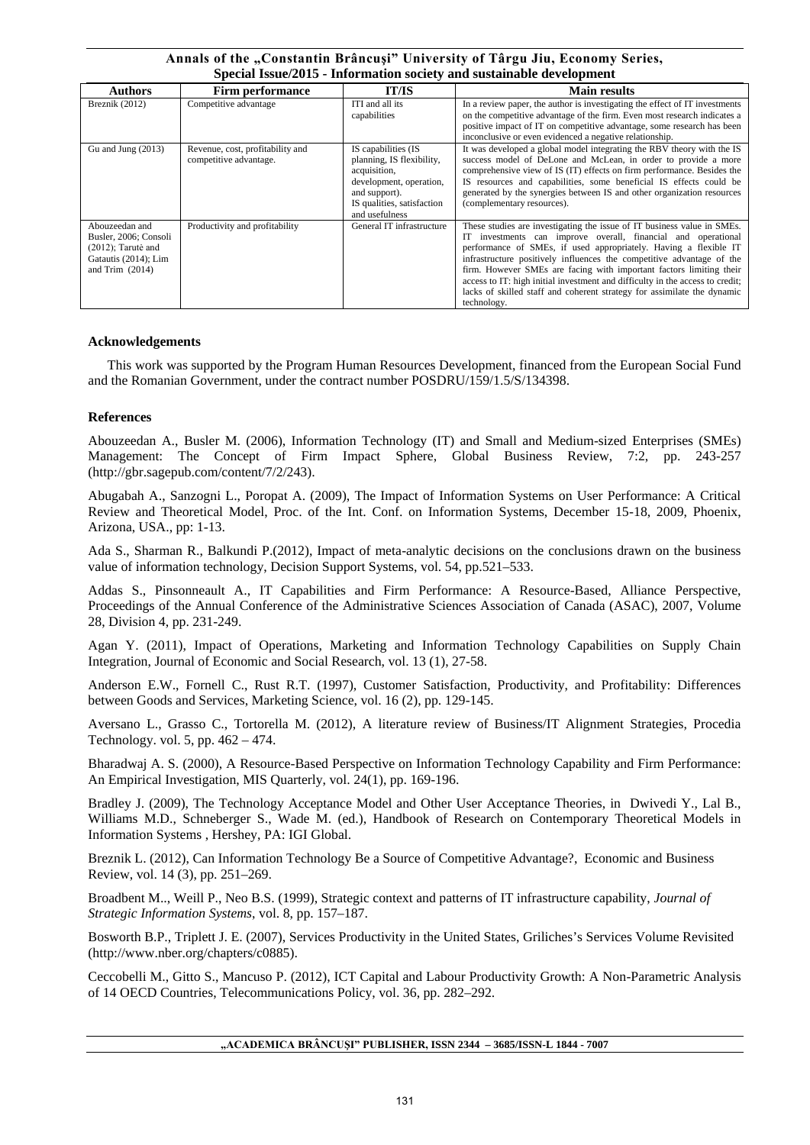| <b>Authors</b>                                                                                                | Firm performance                                           | <b>IT/IS</b>                                                                                                                                                 | <b>Main results</b>                                                                                                                                                                                                                                                                                                                                                                                                                                                                                                                         |
|---------------------------------------------------------------------------------------------------------------|------------------------------------------------------------|--------------------------------------------------------------------------------------------------------------------------------------------------------------|---------------------------------------------------------------------------------------------------------------------------------------------------------------------------------------------------------------------------------------------------------------------------------------------------------------------------------------------------------------------------------------------------------------------------------------------------------------------------------------------------------------------------------------------|
| Breznik (2012)                                                                                                | Competitive advantage                                      | ITI and all its<br>capabilities                                                                                                                              | In a review paper, the author is investigating the effect of IT investments<br>on the competitive advantage of the firm. Even most research indicates a<br>positive impact of IT on competitive advantage, some research has been<br>inconclusive or even evidenced a negative relationship.                                                                                                                                                                                                                                                |
| Gu and Jung $(2013)$                                                                                          | Revenue, cost, profitability and<br>competitive advantage. | IS capabilities (IS<br>planning, IS flexibility,<br>acquisition,<br>development, operation,<br>and support).<br>IS qualities, satisfaction<br>and usefulness | It was developed a global model integrating the RBV theory with the IS<br>success model of DeLone and McLean, in order to provide a more<br>comprehensive view of IS (IT) effects on firm performance. Besides the<br>IS resources and capabilities, some beneficial IS effects could be<br>generated by the synergies between IS and other organization resources<br>(complementary resources).                                                                                                                                            |
| Abouzeedan and<br>Busler, 2006; Consoli<br>$(2012)$ ; Tarutė and<br>Gatautis (2014); Lim<br>and Trim $(2014)$ | Productivity and profitability                             | General IT infrastructure                                                                                                                                    | These studies are investigating the issue of IT business value in SMEs.<br>investments can improve overall, financial and operational<br>IT.<br>performance of SMEs, if used appropriately. Having a flexible IT<br>infrastructure positively influences the competitive advantage of the<br>firm. However SMEs are facing with important factors limiting their<br>access to IT: high initial investment and difficulty in the access to credit;<br>lacks of skilled staff and coherent strategy for assimilate the dynamic<br>technology. |

# **Acknowledgements**

This work was supported by the Program Human Resources Development, financed from the European Social Fund and the Romanian Government, under the contract number POSDRU/159/1.5/S/134398.

# **References**

Abouzeedan A., Busler M. (2006), Information Technology (IT) and Small and Medium-sized Enterprises (SMEs) Management: The Concept of Firm Impact Sphere, Global Business Review, 7:2, pp. 243-257 (http://gbr.sagepub.com/content/7/2/243).

Abugabah A., Sanzogni L., Poropat A. (2009), The Impact of Information Systems on User Performance: A Critical Review and Theoretical Model, Proc. of the Int. Conf. on Information Systems, December 15-18, 2009, Phoenix, Arizona, USA., pp: 1-13.

Ada S., Sharman R., Balkundi P.(2012), Impact of meta-analytic decisions on the conclusions drawn on the business value of information technology, Decision Support Systems, vol. 54, pp.521–533.

Addas S., Pinsonneault A., IT Capabilities and Firm Performance: A Resource-Based, Alliance Perspective, Proceedings of the Annual Conference of the Administrative Sciences Association of Canada (ASAC), 2007, Volume 28, Division 4, pp. 231-249.

Agan Y. (2011), Impact of Operations, Marketing and Information Technology Capabilities on Supply Chain Integration, Journal of Economic and Social Research, vol. 13 (1), 27-58.

Anderson E.W., Fornell C., Rust R.T. (1997), Customer Satisfaction, Productivity, and Profitability: Differences between Goods and Services, Marketing Science, vol. 16 (2), pp. 129-145.

Aversano L., Grasso C., Tortorella M. (2012), A literature review of Business/IT Alignment Strategies, Procedia Technology. vol. 5, pp. 462 – 474.

Bharadwaj A. S. (2000), A Resource-Based Perspective on Information Technology Capability and Firm Performance: An Empirical Investigation, MIS Quarterly, vol. 24(1), pp. 169-196.

Bradley J. (2009), The Technology Acceptance Model and Other User Acceptance Theories, in Dwivedi Y., Lal B., Williams M.D., Schneberger S., Wade M. (ed.), Handbook of Research on Contemporary Theoretical Models in Information Systems , Hershey, PA: IGI Global.

Breznik L. (2012), Can Information Technology Be a Source of Competitive Advantage?, Economic and Business Review, vol. 14 (3), pp. 251–269.

Broadbent M.., Weill P., Neo B.S. (1999), Strategic context and patterns of IT infrastructure capability, *Journal of Strategic Information Systems*, vol. 8, pp. 157–187.

Bosworth B.P., Triplett J. E. (2007), Services Productivity in the United States, Griliches's Services Volume Revisited (http://www.nber.org/chapters/c0885).

Ceccobelli M., Gitto S., Mancuso P. (2012), ICT Capital and Labour Productivity Growth: A Non-Parametric Analysis of 14 OECD Countries, Telecommunications Policy, vol. 36, pp. 282–292.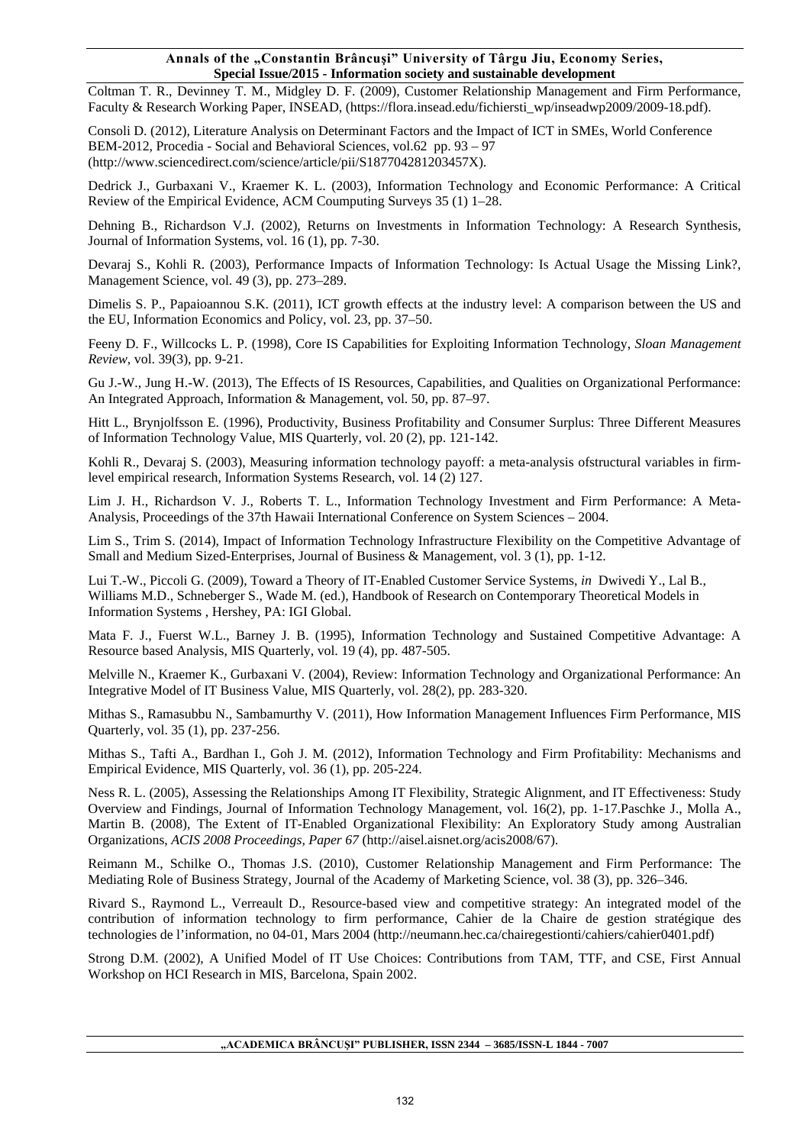Coltman T. R., Devinney T. M., Midgley D. F. (2009), Customer Relationship Management and Firm Performance, Faculty & Research Working Paper, INSEAD, (https://flora.insead.edu/fichiersti\_wp/inseadwp2009/2009-18.pdf).

Consoli D. (2012), Literature Analysis on Determinant Factors and the Impact of ICT in SMEs, World Conference BEM-2012, Procedia - Social and Behavioral Sciences, vol.62 pp. 93 – 97 (http://www.sciencedirect.com/science/article/pii/S187704281203457X).

Dedrick J., Gurbaxani V., Kraemer K. L. (2003), Information Technology and Economic Performance: A Critical Review of the Empirical Evidence, ACM Coumputing Surveys 35 (1) 1–28.

Dehning B., Richardson V.J. (2002), Returns on Investments in Information Technology: A Research Synthesis, Journal of Information Systems, vol. 16 (1), pp. 7-30.

Devaraj S., Kohli R. (2003), Performance Impacts of Information Technology: Is Actual Usage the Missing Link?, Management Science, vol. 49 (3), pp. 273–289.

Dimelis S. P., Papaioannou S.K. (2011), ICT growth effects at the industry level: A comparison between the US and the EU, Information Economics and Policy, vol. 23, pp. 37–50.

Feeny D. F., Willcocks L. P. (1998), Core IS Capabilities for Exploiting Information Technology, *Sloan Management Review,* vol. 39(3), pp. 9-21.

Gu J.-W., Jung H.-W. (2013), The Effects of IS Resources, Capabilities, and Qualities on Organizational Performance: An Integrated Approach, Information & Management, vol. 50, pp. 87–97.

Hitt L., Brynjolfsson E. (1996), Productivity, Business Profitability and Consumer Surplus: Three Different Measures of Information Technology Value, MIS Quarterly, vol. 20 (2), pp. 121-142.

Kohli R., Devaraj S. (2003), Measuring information technology payoff: a meta-analysis ofstructural variables in firmlevel empirical research, Information Systems Research, vol. 14 (2) 127.

Lim J. H., Richardson V. J., Roberts T. L., Information Technology Investment and Firm Performance: A Meta-Analysis, Proceedings of the 37th Hawaii International Conference on System Sciences – 2004.

Lim S., Trim S. (2014), Impact of Information Technology Infrastructure Flexibility on the Competitive Advantage of Small and Medium Sized-Enterprises, Journal of Business & Management, vol. 3 (1), pp. 1-12.

Lui T.-W., Piccoli G. (2009), Toward a Theory of IT-Enabled Customer Service Systems, *in* Dwivedi Y., Lal B., Williams M.D., Schneberger S., Wade M. (ed.), Handbook of Research on Contemporary Theoretical Models in Information Systems , Hershey, PA: IGI Global.

Mata F. J., Fuerst W.L., Barney J. B. (1995), Information Technology and Sustained Competitive Advantage: A Resource based Analysis, MIS Quarterly, vol. 19 (4), pp. 487-505.

Melville N., Kraemer K., Gurbaxani V. (2004), Review: Information Technology and Organizational Performance: An Integrative Model of IT Business Value, MIS Quarterly, vol. 28(2), pp. 283-320.

Mithas S., Ramasubbu N., Sambamurthy V. (2011), How Information Management Influences Firm Performance, MIS Quarterly, vol. 35 (1), pp. 237-256.

Mithas S., Tafti A., Bardhan I., Goh J. M. (2012), Information Technology and Firm Profitability: Mechanisms and Empirical Evidence, MIS Quarterly, vol. 36 (1), pp. 205-224.

Ness R. L. (2005), Assessing the Relationships Among IT Flexibility, Strategic Alignment, and IT Effectiveness: Study Overview and Findings, Journal of Information Technology Management, vol. 16(2), pp. 1-17.Paschke J., Molla A., Martin B. (2008), The Extent of IT-Enabled Organizational Flexibility: An Exploratory Study among Australian Organizations, *ACIS 2008 Proceedings, Paper 67* (http://aisel.aisnet.org/acis2008/67).

Reimann M., Schilke O., Thomas J.S. (2010), Customer Relationship Management and Firm Performance: The Mediating Role of Business Strategy, Journal of the Academy of Marketing Science, vol. 38 (3), pp. 326–346.

Rivard S., Raymond L., Verreault D., Resource-based view and competitive strategy: An integrated model of the contribution of information technology to firm performance, Cahier de la Chaire de gestion stratégique des technologies de l'information, no 04-01, Mars 2004 (http://neumann.hec.ca/chairegestionti/cahiers/cahier0401.pdf)

Strong D.M. (2002), A Unified Model of IT Use Choices: Contributions from TAM, TTF, and CSE, First Annual Workshop on HCI Research in MIS, Barcelona, Spain 2002.